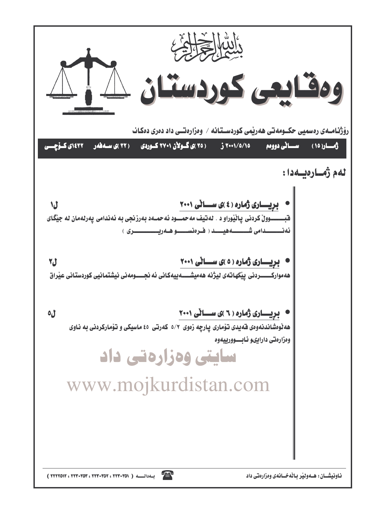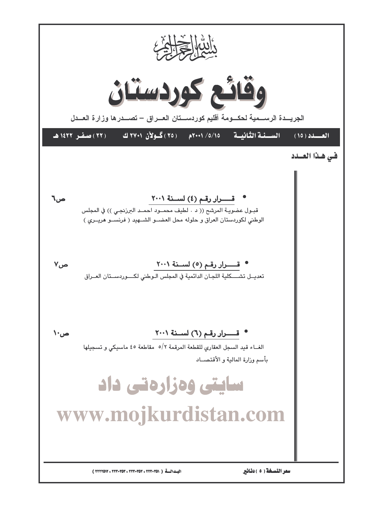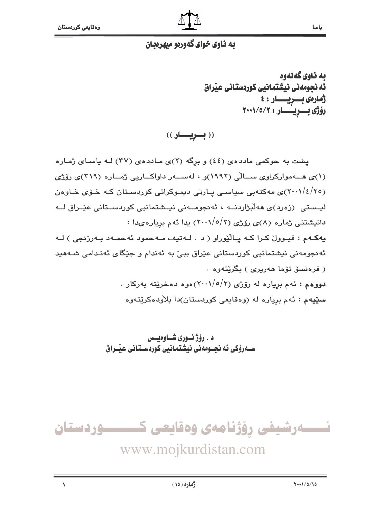

#### يه ناوي خواي گهوريو ميهريييان

ىە ناوي گەنەوە ئه نجومەنى نيشتمانيى كوردستانى عيراق أمارهى بسريسسار: ٤ رۆژى بىريسار: ٢٠٠١/٥/٢

ياسا

((بسريسار))

پشت به حوکمی ماددهی (٤٤) و برِگه (٢)ی مـاددهی (٣٧) لـه ياسـای ژمـاره (۱)ی هــهموارکراوی ســالّی (۱۹۹۲)و ، لهســهر داواکــاریی ژمــاره (۳۱۹)ی رۆژی (۲۰۰ $/\epsilon/\gamma$ ی مهکتهبی سیاسـی پـارتی دیمـوکراتی کوردسـتان کـه خـوّی خـاوهن لیےستی (زەرد)ی ھەلىژاردنــه ، ئەنجومــەنى نیےشتمانیی کوردسـتانی عیّـراق لــه دانیشتنی ژماره (۸)ی رۆژی (۲/۰۰۱/۰/۲) یدا ئهم بریارهىدا : يه کهم : قبوولٌ کرا که پالٽوراو ( د . لهتيف مه حمود ئه حمله د به رزنجي ) لـه ئەنجومەنى نیشتمانیى كوردستانى عێراق ببیٚ بە ئەندام و جێگاى ئەنـدامى شـﻪھید ( فرەنسۆ تۆما ھەريرى ) بگرێتەوە . دووهم : ئهم برياره له رۆژى (٢/٥/٢) هوه دهخرێته بهركار . س**ێیه**م : ئهم بږیاره له (وهقایعی کوردستان)دا بلاْودهکرێتهوه

> د . رۆژنـورى شـاوەيـس ســهروْکی ئه نجــومهنی نیشتمانیی کوردســتانی عیّــراق



www.mojkurdistan.com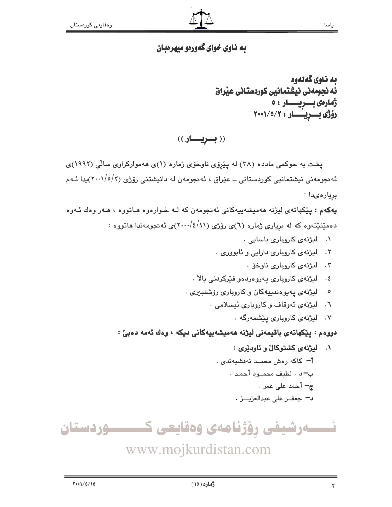## به ناوي خواي گهورهو ميهرهبان

به ناوي گهڻهوه ئه نحومهنی نیشتمانیی کوردستانی عیراق ژمارەى بىريسسار: ٥ رۆژى بىريىسار: ٢٠٠١/٥/٢

((بسريسار))

پشت به حوکمی مادده (۳۸) له پیریوی ناوخوی ژماره (۱)ی ههموارکراوی سالی (۱۹۹۲)ی ئەنجومەنى نیشتمانیى كوردستانى ــ عێراق ، ئەنجومەن لە دانیشتنى رۆژى (٢/٥/٢)يدا ئـەم بريارەىدا :

پهکهم : پێکهاتهی لیژنه ههمیشهیپهکانی ئهنجومهن که لـه خـوارهوه هـاتووه ، هـهر وهك ئـهوه دهمیننیتهوه که له بریاری ژماره (٦)ی رۆژی (۱۱/٤/۱۱)ی ئه نجومهندا هاتووه :

- ۰۱ لیژنهی کاروباری یاسایی ۰
- ٢. ليژنهي کاروباري دارايي و ئابووري .
	- ۰۳ لیژنهی کارویاری ناوخق .
- ٤. لیژنهی کاروباری یهروهردهو فیرکردنی بالا .
- ۰. ليژنهي پهيوهندييهکان و کاروباري رۆشنبيري .
	- ٦. ليژنهي ئهوقاف وكاروباري ئيسلامي .
		- ۰۷ لیژنهی کارویاری بیشمهرگه .

دووهم : پێکهاتهی باقیمەنی لیژنه هەمیشەپیەکانی دیکه ، وەك ئەمە دەبیٚ :

- ۰۱ لیژنهی کشتوکال و ئاودیری : <mark>أ-</mark> كاكه رەش محمـد نەقشىبەندى . ب- د . لطيف محمود أحمد . ج− أحمد على عمر .
	- د- جعف على عبدالعزيــز .

 $\mathsf{r}$ 



www.mojkurdistan.com

ياسا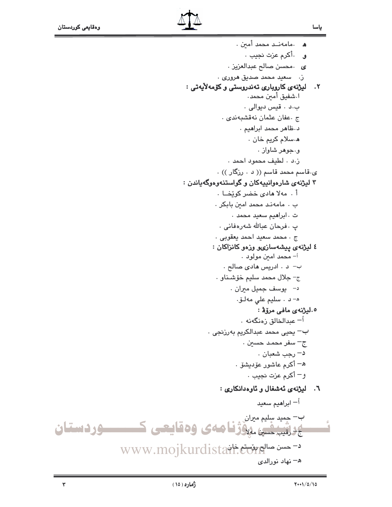- ى محسن صالح عبدالعزيز .
- .<br>ز. سعيد محمد صديق هروري .

## ٢. لیژنهی کاروباری تهندروستی و کۆمهلایهتی :

- ا.شفيق أمين محمد. ب.د . قيس ديوالي .
- ج .عفان عثمان نەقشبەندى .
	- د ظاهر محمد ابراهیم .
		- ه سلام کريم خان .
			- و.جوهر شاواز .
	- ز.د . لطيف محمود احمد .
- ی قاسم محمد قاسم (( د ۰ رزگار )) .

# ۳ ليژنهى شارهوانييهكان و گواستنهوهوگهياندن :

- أ. مهلا هادى خضر كويخا. ب . مامەند محمد امين بابكر .
	- ت ، ابراهيم سعيد محمد .
- پ . فرحان عبالله شەرەفانى .
- ج . محمد سعيد احمد يعقوبي .

#### ٤ ليژنهي پيشهسازي ورزهو كانزاكان :

- أ– محمد امين مولود . ب– د . ادريس هادي صالح .
- ج- جلال محمد سليم خۆشناو .
- د– يوسف جميل مبران .
	- ه- د . سليم على مەلىق.

## ٥.ليژنهي مافي مروّفي:

- <sup>آ</sup>– عبدالخالق زەنگەنە .  $\cdot$  بحيى محمد عبدالكريم بەرزنجى ج<sup>ـــ</sup> سفر محمـد حسين . د– رجب شعبان . ه— أكرم عاشور عۆدىشۆ .
	- و أكرم عزت نجيب .

#### ٦. ليژنهى ئەشغال و ئاوەدانكارى :

<sup>أ</sup>— ابراهيم سعيد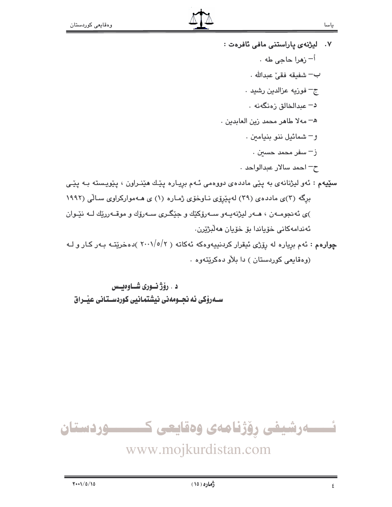- ٧. لیژنهی یاراستنی مافی ئافرهت : <sup>اُ—</sup> زمرا حاجي طه ٠ ب— شفيقه فقيٌ عبدالله . ج– فوزيه عزالدين رشيد . د– عىدالخالق زەنگەنە ٠ هـ - مهلا طاهر محمد زين العابدين . و– شمائيل ننو بنيامين . ز – سفر محمد حسين . ح- احمد سالار عبدالواحد . س**ٽيهم :** ئهو ليژنانهي به پٽي ماددهي دووهمي ئـهم بريـاره پٽيك هٽنـراون ، پٽويـسته بـه پٽـي برگه (۳)ی ماددهی (۲۹) لهیپروی ناوخوّی ژماره (۱) ی هـهموارکراوی سالّی (۱۹۹۲ )ی ئه نجومـهن ، هـهر ليژنهيـهو سـهرۆکێك و جێگـری سـهرۆك و موقـهررێك لـه نێـوان ئەندامەكانى خۆياندا بۆ خۆيان مەلبژيرن.
- چوارهم : ئهم برياره له رِۆِرْي ئيقرار كردنييەوهكه ئەكاتە ( ٢٠٠١/٥/٢ )دهخريّتـه بـهر كـار و لـه (وهقايعي كوردستان) دا بلاو دهكريتهوه .

د . رۆژ نــورى شــاوەيــس سـهروکی ئه نحـومهنی نیشتمانیی کوردسـتانی عیّـراق

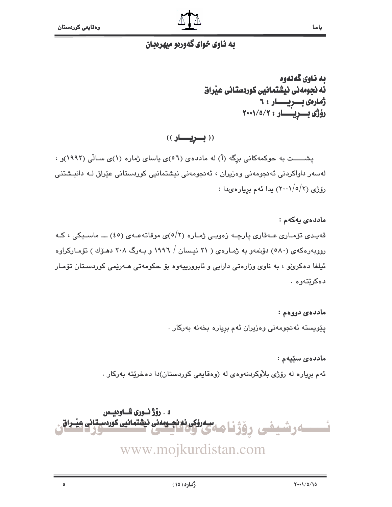

#### به ناوي خواي گهورهو ميهرهبان

ىە ناوي گەنەوە ئه نجومهنی نیشتمانیی کوردستانی عیراق أمارەي بىريسىار: ٦ رۆژى بىريىسار : ٢٠٠١/٥/٢

((بويار))

پشسست به حوکمهکانی برِگه (أ) له ماددهی (٥٦)ی یاسای ژماره (١)ی سالّی (١٩٩٢)و ، لەسەر داواكردنى ئەنجومەنى وەزيران ، ئەنجومەنى نيشتمانيى كوردستانى عێراق لـە دانيشتنى رۆژى (٢٠٠١/٥/٢) يدا ئەم بريارەيدا :

ماددەي يەكەم : قەيىدى تۆمـارى عـەقارى پارچـە زەويـى ژمـارە (٢/٥)ى موقاتەعـەى (٤٥) ـــ ماسـيكى ، كـە روویهرهکهی (۵۸۰) دۆنمەو بە ژمارەی ( ۲۱ نیسان / ۱۹۹۲ و بـەرگ ۲۰۸ دهـۆك ) تۆمـارکراوە ئیلغا دەكرى، ، بە ناوى وزارەتى دارايى و ئابوورىيەوە بۆ حكومەتى ھـەرێمى كوردسـتان تۆمـار دەكرێتەوە .

> ماددەئ دووەم : پێویسته ئەنجومەنی وەزیران ئەم بریارە بخەنە بەركار .

ماددەي سێپەم : ئهم برياره له رۆژى بلاوكردنهوهى له (وهقايعى كوردستان)دا دهخريته بەركار .

د . رۆژ نسورى شساوەيسى <u>سی</u>مرو<u>ٰکی نه نچ وم</u>منی ن<del>یش</del>تمانیی کوردسیتانی عیبراق ەرشىفى

www.mojkurdistan.com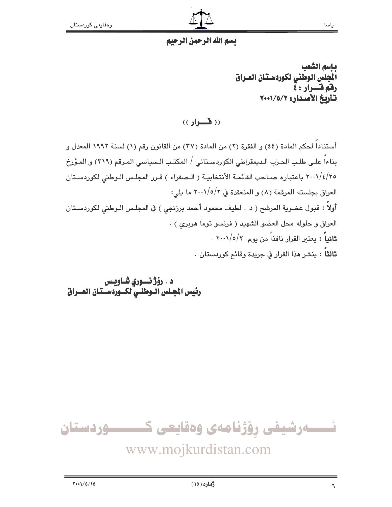

ياسا

# بسم الله الرحمن الرحيم

بإسم الشعب الجلس الوطني لكوردستان العراق رفق قسرار : ٤ تأريخ الأصدار: ٢٠٠١/٥/٢

 $($ ( ( فسواد ))

أستناداً لحكم المادة (٤٤) و الفقرة (٢) من المادة (٣٧) من القانون رقم (١) لسنة ١٩٩٢ المعدل و بناءاً على طلب الحزب الـديمقراطي الكوردسـتاني / المكتـب الـسياسي المـرقم (٣١٩) و المـؤرخ ٢٠٠١/٤/٢٥ باعتباره صـاحب القائمـة الأنتخابيـة ( الـصفراء ) قـرر المجلـس الـوطني لكوردسـتان العراق بجلسته المرقمة (٨) و المنعقدة في ٢٠٠١/٥/٢ ما يلي: **أولاً :** قبول عضوية المرشح ( د . لطيف محمود أحمد برزنجي ) في المجلس الـوطني لكوردسـتان العراق و حلوله محل العضو الشهيد ( فرنسو توما هريرى ) . ثانياً : يعتبر القرار نافذاً من يوم ٢٠٠١/٥/٢ . **ثالثاً :** ينشر هذا القرار في جريدة وقائم كوردستان .

د . رۆژ نسورى شــاويـس رئيس المجلس الـوطنـي لكــوردسـتان العــراق

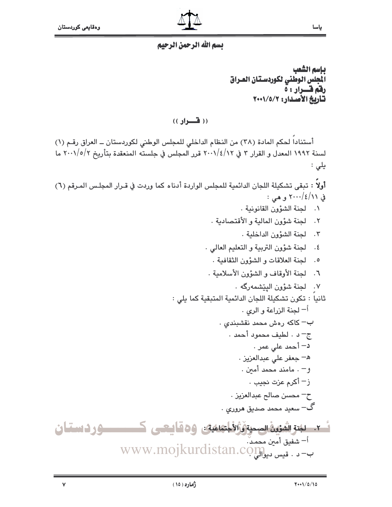#### بسم الله الرحمن الرحيم

بإسم الشعب المجلس الوطني لكوردستان العراق رفم فسرار : ه تأريخ الأصدار: ١٧٠١/٥/٢

 $($ ( ( فسواد ))

أستناداً لحكم المادة (٣٨) من النظام الداخلي للمجلس الوطني لكوردستان ــ العراق رقـم (١) لسنة ١٩٩٢ المعدل و القرار ٣ في ٢٠٠١/٤/١٢ قرر المجلس في جلسته المنعقدة بتأريخ ٢٠٠١/٥/٢ ما یلی :

أولاً : تبقى تشكيلة اللجان الدائمية للمجلس الواردة أدناه كما وردت في قـرار المجلـس المـرقم (٦) في ۲۰۰۱/٤/۱۱ و هي :

- ٠. لجنة الشؤون القانونية .
- ٢. لجنة شؤون المالية و الأقتصادية .
	- ٢. لجنة الشؤون الداخلية .
- ٤. لجنة شؤون التربية والتعليم العالى .
	- ٥. لجنة العلاقات و الشؤون الثقافية .
- ٦. لجنة الأوقاف و الشؤون الأسلامية .
	- ٧. لحنة شؤون البيشمهرگه .
- ثانيا : تكون تشكيلة اللجان الدائمية المتبقية كما يلي : <sup>أ</sup> لجنة الزراعة و الرى . ب– كاكه رەش محمد نقشبندى .
- ج- د. لطيف محمود أحمد. د– أحمد على عمر . ه- جعفر على عبدالعزيز . و– . مامند محمد أمين . ز – أكرم عزت نجيب .
	- ح محسن صالح عبدالعزيز .
	- گ– سعيد محمد صديق *ه*روري .

 $\mathsf{v}$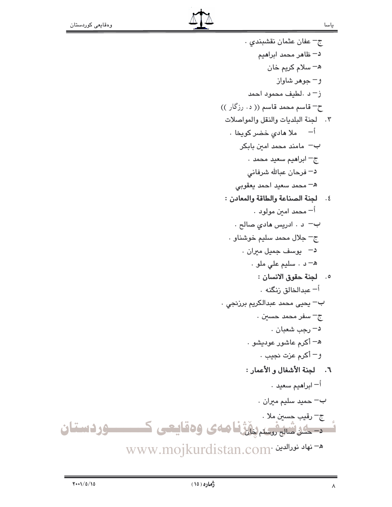ج - عفان عثمان نقشبندي د– ظاهر محمد ابراهيم ه– سلام کريم خان و– جوهر شاواز ز- د .لطيف محمود احمد ح– قاسم محمد قاسم (( د. رزگار )) ٢. لجنة البلديات والنقل والمواصلات <sup>أ</sup>– ملا ما*دی* خضر کویخا ۰ ب– مامند محمد امین بابکر ج<sup>ــ</sup> ابراهيم سعيد محمد . د– فرحان عبالله شرفانی ه– محمد سعيد احمد يعقوبي ٤. لجنة الصناعة والطاقة والمعادن : أ– محمد امىن مولود . ب– د . ادريس هادي صالح .  $\cdot$  جالال محمد سليم خوشناو د–۔ یوسف جمیل میران . ه- د . سليم على ملو . 0. لجنة حقوق الانسان : أ– عبدالخالق زنگنه ٠ ب– يحيى محمد عبدالكريم برزنجى ٠ ج<sup>ـــ</sup> سفر محمد حسي*ن* . د– رجب شعبان . ه– أكرم عاشور عوديشو . و – أكرم عزت نجيب . ٦. لجنة الأشغال و الأعمار : <sup>أ</sup>— ابراهيم سعيد ٠  $\cdot$  جميد سليم ميران ج– رقيب حسين ملا . <u>۔ ۔ اسٹسٹریشنڈا م</u>ی وہقایعی ک

WWW.mojkurdistan.com· خهاد نورالدین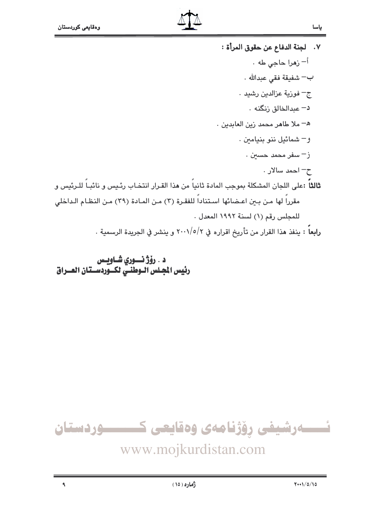- ٧. لجنة الدفاع عن حقوق المرأة : <sup>أ</sup>– زهرا حاجى طه ٠ ب— شفيقة فقي عبدالله . ج– فوزية عزالدين رشيد . د– عبدالخالق زنگنه ٠ ه- ملا طاهر محمد زين العابدين . و– شمائيل ننو بنيامين . ز – سفر محمد حسين . ح– احمد سالار . **ثالثاً** :على اللجان المشكلة بموجب المادة ثانياً من هذا القـرار انتخـاب رئـيس و نائبـاً للـرئيس و مقرراً لها من بين اعـضائها اسـتناداً للفقـرة (٣) مـن المـادة (٣٩) مـن النظـام الـداخلي
	- للمجلس رقم (١) لسنة ١٩٩٢ المعدل .

**رابعاً : ي**نفذ هذا القرار من تأريخ اقراره في ٢٠٠١/٥/٢ و ينشر في الجريدة الرسمية .

د . رۆژ نسوري شــاويــس رئيس الجلس الوطنس لكسوردسستان العسراق



# www.mojkurdistan.com